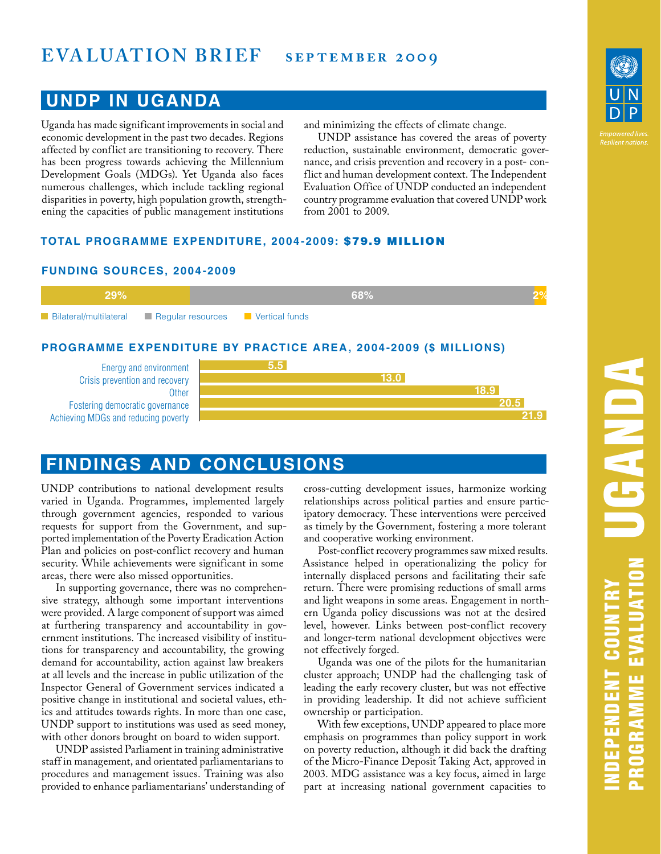# **EVALUATION BRIEF** SEPTEMBER 2009

### **UNDP IN UGANDA**

Uganda has made significant improvements in social and economic development in the past two decades. Regions affected by conflict are transitioning to recovery. There has been progress towards achieving the Millennium Development Goals (MDGs). Yet Uganda also faces numerous challenges, which include tackling regional disparities in poverty, high population growth, strengthening the capacities of public management institutions

and minimizing the effects of climate change.

UNDP assistance has covered the areas of poverty reduction, sustainable environment, democratic governance, and crisis prevention and recovery in a post- conflict and human development context. The Independent Evaluation Office of UNDP conducted an independent country programme evaluation that covered UNDP work from 2001 to 2009.

#### **TOTAL PROGRAMME EXPENDITURE, 2004-2009:** \$79.9 MILLION

#### **FUNDING SOURCES, 2004-2009**



#### **PROGRAMME EXPENDITURE BY PRACTICE AREA, 2004-2009 (\$ MILLIONS)**

Energy and environment Crisis prevention and recovery **Other** Fostering democratic governance Achieving MDGs and reducing poverty



## **FINDINGS AND CONCLUSIONS**

UNDP contributions to national development results varied in Uganda. Programmes, implemented largely through government agencies, responded to various requests for support from the Government, and supported implementation of the Poverty Eradication Action Plan and policies on post-conflict recovery and human security. While achievements were significant in some areas, there were also missed opportunities.

In supporting governance, there was no comprehensive strategy, although some important interventions were provided. A large component of support was aimed at furthering transparency and accountability in government institutions. The increased visibility of institutions for transparency and accountability, the growing demand for accountability, action against law breakers at all levels and the increase in public utilization of the Inspector General of Government services indicated a positive change in institutional and societal values, ethics and attitudes towards rights. In more than one case, UNDP support to institutions was used as seed money, with other donors brought on board to widen support.

UNDP assisted Parliament in training administrative staff in management, and orientated parliamentarians to procedures and management issues. Training was also provided to enhance parliamentarians' understanding of cross-cutting development issues, harmonize working relationships across political parties and ensure participatory democracy. These interventions were perceived as timely by the Government, fostering a more tolerant and cooperative working environment.

Post-conflict recovery programmes saw mixed results. Assistance helped in operationalizing the policy for internally displaced persons and facilitating their safe return. There were promising reductions of small arms and light weapons in some areas. Engagement in northern Uganda policy discussions was not at the desired level, however. Links between post-conflict recovery and longer-term national development objectives were not effectively forged.

Uganda was one of the pilots for the humanitarian cluster approach; UNDP had the challenging task of leading the early recovery cluster, but was not effective in providing leadership. It did not achieve sufficient ownership or participation.

With few exceptions, UNDP appeared to place more emphasis on programmes than policy support in work on poverty reduction, although it did back the drafting of the Micro-Finance Deposit Taking Act, approved in 2003. MDG assistance was a key focus, aimed in large part at increasing national government capacities to